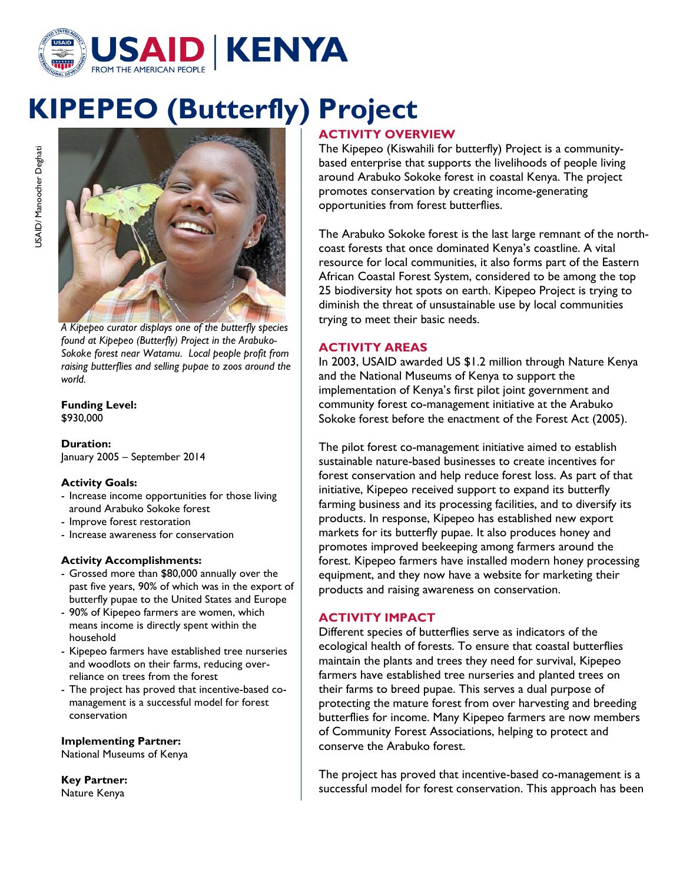

# **KIPEPEO (Butterfly) Project**



*A Kipepeo curator displays one of the butterfly species found at Kipepeo (Butterfly) Project in the Arabuko-Sokoke forest near Watamu. Local people profit from raising butterflies and selling pupae to zoos around the world.*

**Funding Level:** \$930,000

**Duration:** January 2005 – September 2014

## **Activity Goals:**

- Increase income opportunities for those living around Arabuko Sokoke forest
- Improve forest restoration
- Increase awareness for conservation

## **Activity Accomplishments:**

- Grossed more than \$80,000 annually over the past five years, 90% of which was in the export of butterfly pupae to the United States and Europe
- 90% of Kipepeo farmers are women, which means income is directly spent within the household
- Kipepeo farmers have established tree nurseries and woodlots on their farms, reducing overreliance on trees from the forest
- The project has proved that incentive-based comanagement is a successful model for forest conservation

## **Implementing Partner:**

National Museums of Kenya

**Key Partner:** Nature Kenya

# **ACTIVITY OVERVIEW**

The Kipepeo (Kiswahili for butterfly) Project is a communitybased enterprise that supports the livelihoods of people living around Arabuko Sokoke forest in coastal Kenya. The project promotes conservation by creating income-generating opportunities from forest butterflies.

The Arabuko Sokoke forest is the last large remnant of the northcoast forests that once dominated Kenya's coastline. A vital resource for local communities, it also forms part of the Eastern African Coastal Forest System, considered to be among the top 25 biodiversity hot spots on earth. Kipepeo Project is trying to diminish the threat of unsustainable use by local communities trying to meet their basic needs.

## **ACTIVITY AREAS**

In 2003, USAID awarded US \$1.2 million through Nature Kenya and the National Museums of Kenya to support the implementation of Kenya's first pilot joint government and community forest co-management initiative at the Arabuko Sokoke forest before the enactment of the Forest Act (2005).

The pilot forest co-management initiative aimed to establish sustainable nature-based businesses to create incentives for forest conservation and help reduce forest loss. As part of that initiative, Kipepeo received support to expand its butterfly farming business and its processing facilities, and to diversify its products. In response, Kipepeo has established new export markets for its butterfly pupae. It also produces honey and promotes improved beekeeping among farmers around the forest. Kipepeo farmers have installed modern honey processing equipment, and they now have a website for marketing their products and raising awareness on conservation.

## **ACTIVITY IMPACT**

Different species of butterflies serve as indicators of the ecological health of forests. To ensure that coastal butterflies maintain the plants and trees they need for survival, Kipepeo farmers have established tree nurseries and planted trees on their farms to breed pupae. This serves a dual purpose of protecting the mature forest from over harvesting and breeding butterflies for income. Many Kipepeo farmers are now members of Community Forest Associations, helping to protect and conserve the Arabuko forest.

The project has proved that incentive-based co-management is a successful model for forest conservation. This approach has been